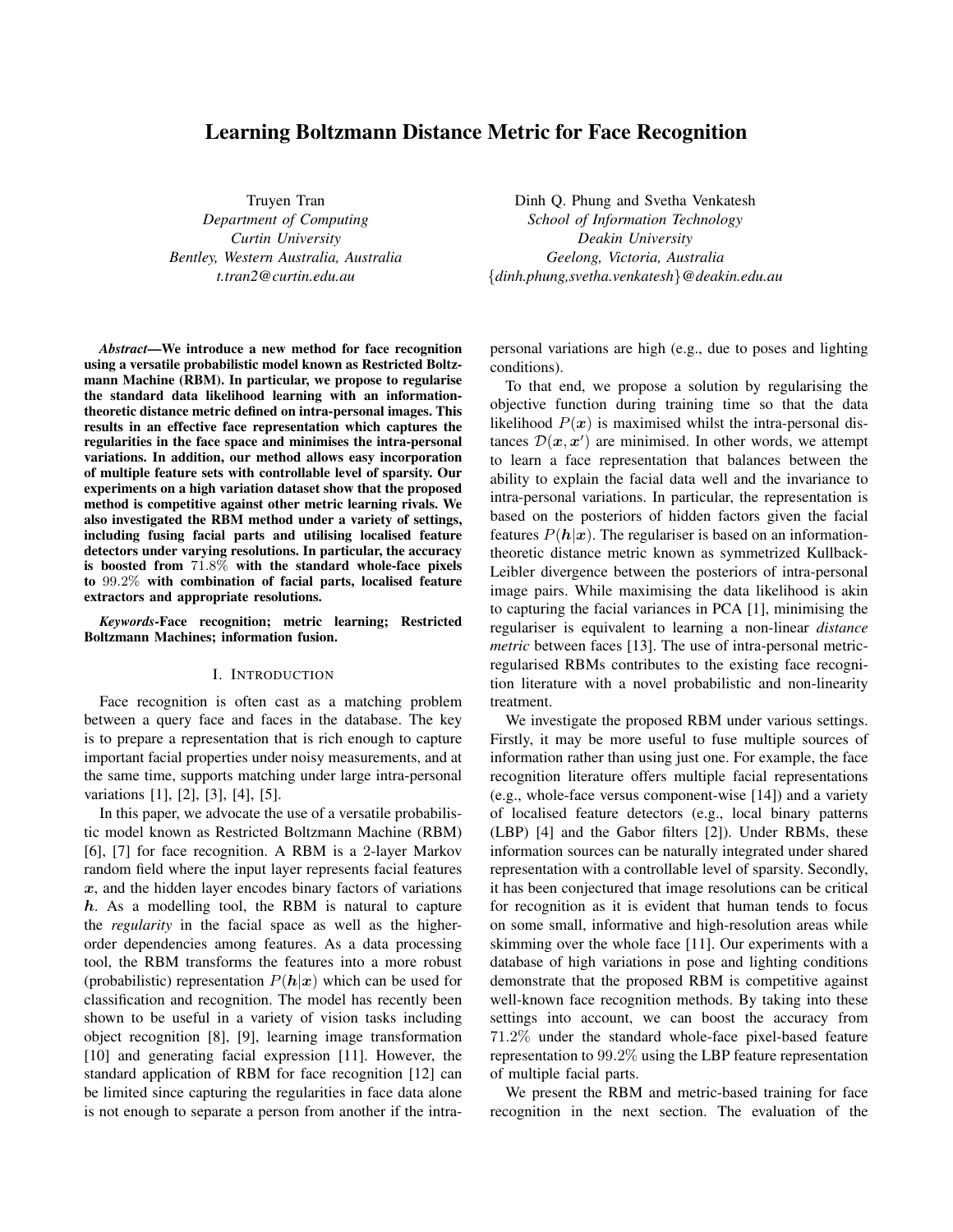# **Learning Boltzmann Distance Metric for Face Recognition**

Truyen Tran *Department of Computing Curtin University Bentley, Western Australia, Australia t.tran2@curtin.edu.au*

*Abstract***—We introduce a new method for face recognition using a versatile probabilistic model known as Restricted Boltzmann Machine (RBM). In particular, we propose to regularise the standard data likelihood learning with an informationtheoretic distance metric defined on intra-personal images. This results in an effective face representation which captures the regularities in the face space and minimises the intra-personal variations. In addition, our method allows easy incorporation of multiple feature sets with controllable level of sparsity. Our experiments on a high variation dataset show that the proposed method is competitive against other metric learning rivals. We also investigated the RBM method under a variety of settings, including fusing facial parts and utilising localised feature detectors under varying resolutions. In particular, the accuracy is boosted from** 71.8% **with the standard whole-face pixels to** 99.2% **with combination of facial parts, localised feature extractors and appropriate resolutions.**

*Keywords***-Face recognition; metric learning; Restricted Boltzmann Machines; information fusion.**

# I. INTRODUCTION

Face recognition is often cast as a matching problem between a query face and faces in the database. The key is to prepare a representation that is rich enough to capture important facial properties under noisy measurements, and at the same time, supports matching under large intra-personal variations [1], [2], [3], [4], [5].

In this paper, we advocate the use of a versatile probabilistic model known as Restricted Boltzmann Machine (RBM) [6], [7] for face recognition. A RBM is a 2-layer Markov random field where the input layer represents facial features  $x$ , and the hidden layer encodes binary factors of variations  $h$ . As a modelling tool, the RBM is natural to capture the *regularity* in the facial space as well as the higherorder dependencies among features. As a data processing tool, the RBM transforms the features into a more robust (probabilistic) representation  $P(h|x)$  which can be used for classification and recognition. The model has recently been shown to be useful in a variety of vision tasks including object recognition [8], [9], learning image transformation [10] and generating facial expression [11]. However, the standard application of RBM for face recognition [12] can be limited since capturing the regularities in face data alone is not enough to separate a person from another if the intra-

Dinh Q. Phung and Svetha Venkatesh *School of Information Technology Deakin University Geelong, Victoria, Australia* {*dinh.phung,svetha.venkatesh*}*@deakin.edu.au*

personal variations are high (e.g., due to poses and lighting conditions).

To that end, we propose a solution by regularising the objective function during training time so that the data likelihood  $P(x)$  is maximised whilst the intra-personal distances  $\mathcal{D}(x, x')$  are minimised. In other words, we attempt to learn a face representation that balances between the ability to explain the facial data well and the invariance to intra-personal variations. In particular, the representation is based on the posteriors of hidden factors given the facial features  $P(h|x)$ . The regulariser is based on an informationtheoretic distance metric known as symmetrized Kullback-Leibler divergence between the posteriors of intra-personal image pairs. While maximising the data likelihood is akin to capturing the facial variances in PCA [1], minimising the regulariser is equivalent to learning a non-linear *distance metric* between faces [13]. The use of intra-personal metricregularised RBMs contributes to the existing face recognition literature with a novel probabilistic and non-linearity treatment.

We investigate the proposed RBM under various settings. Firstly, it may be more useful to fuse multiple sources of information rather than using just one. For example, the face recognition literature offers multiple facial representations (e.g., whole-face versus component-wise [14]) and a variety of localised feature detectors (e.g., local binary patterns (LBP) [4] and the Gabor filters [2]). Under RBMs, these information sources can be naturally integrated under shared representation with a controllable level of sparsity. Secondly, it has been conjectured that image resolutions can be critical for recognition as it is evident that human tends to focus on some small, informative and high-resolution areas while skimming over the whole face [11]. Our experiments with a database of high variations in pose and lighting conditions demonstrate that the proposed RBM is competitive against well-known face recognition methods. By taking into these settings into account, we can boost the accuracy from 71.2% under the standard whole-face pixel-based feature representation to 99.2% using the LBP feature representation of multiple facial parts.

We present the RBM and metric-based training for face recognition in the next section. The evaluation of the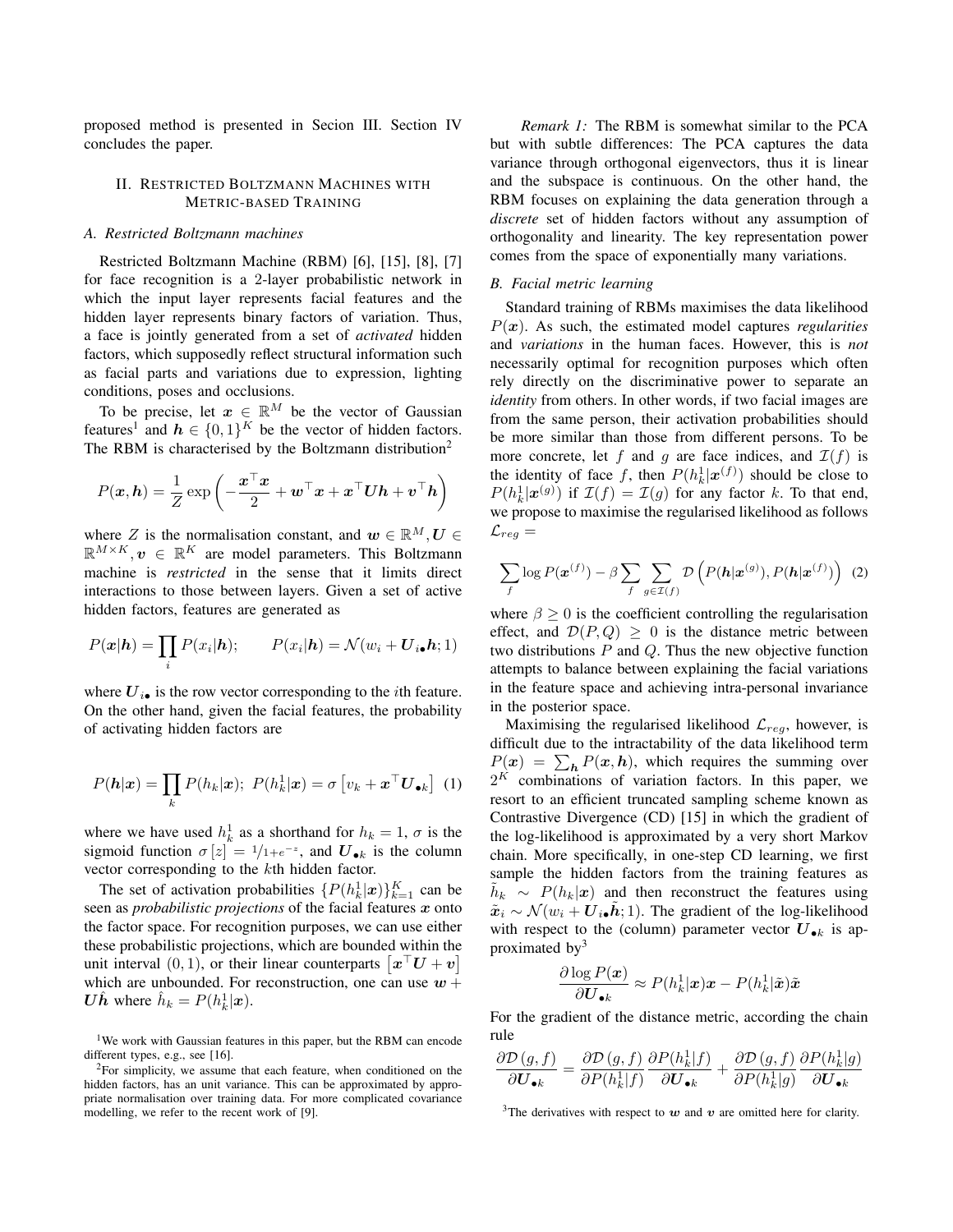proposed method is presented in Secion III. Section IV concludes the paper.

# II. RESTRICTED BOLTZMANN MACHINES WITH METRIC-BASED TRAINING

#### *A. Restricted Boltzmann machines*

Restricted Boltzmann Machine (RBM) [6], [15], [8], [7] for face recognition is a 2-layer probabilistic network in which the input layer represents facial features and the hidden layer represents binary factors of variation. Thus, a face is jointly generated from a set of *activated* hidden factors, which supposedly reflect structural information such as facial parts and variations due to expression, lighting conditions, poses and occlusions.

To be precise, let  $x \in \mathbb{R}^M$  be the vector of Gaussian features<sup>1</sup> and  $h \in \{0,1\}^K$  be the vector of hidden factors. The RBM is characterised by the Boltzmann distribution<sup>2</sup>

$$
P(\boldsymbol{x}, \boldsymbol{h}) = \frac{1}{Z} \exp \left(-\frac{\boldsymbol{x}^\top \boldsymbol{x}}{2} + \boldsymbol{w}^\top \boldsymbol{x} + \boldsymbol{x}^\top \boldsymbol{U} \boldsymbol{h} + \boldsymbol{v}^\top \boldsymbol{h}\right)
$$

where Z is the normalisation constant, and  $w \in \mathbb{R}^M, U \in$  $\mathbb{R}^{M \times K}$ ,  $v \in \mathbb{R}^{K}$  are model parameters. This Boltzmann machine is *restricted* in the sense that it limits direct interactions to those between layers. Given a set of active hidden factors, features are generated as

$$
P(\mathbf{x}|\mathbf{h}) = \prod_i P(x_i|\mathbf{h}); \qquad P(x_i|\mathbf{h}) = \mathcal{N}(w_i + \mathbf{U}_{i\bullet}\mathbf{h}; 1)
$$

where  $U_{i\bullet}$  is the row vector corresponding to the *i*th feature. On the other hand, given the facial features, the probability of activating hidden factors are

$$
P(\boldsymbol{h}|\boldsymbol{x}) = \prod_{k} P(h_k|\boldsymbol{x}); \ P(h_k^1|\boldsymbol{x}) = \sigma \left[ v_k + \boldsymbol{x}^\top \boldsymbol{U}_{\bullet k} \right] \tag{1}
$$

where we have used  $h_k^1$  as a shorthand for  $h_k = 1$ ,  $\sigma$  is the sigmoid function  $\sigma[z] = \frac{1}{1} + e^{-z}$ , and  $\mathbf{U}_{\bullet k}$  is the column vector corresponding to the kth hidden factor.

The set of activation probabilities  $\{P(h_k^1|\boldsymbol{x})\}_{k=1}^K$  can be seen as *probabilistic projections* of the facial features x onto the factor space. For recognition purposes, we can use either these probabilistic projections, which are bounded within the unit interval  $(0, 1)$ , or their linear counterparts  $\left[\boldsymbol{x}^{\top}\boldsymbol{U} + \boldsymbol{v}\right]$ which are unbounded. For reconstruction, one can use  $w +$  $\boldsymbol{U}\hat{\boldsymbol{h}}$  where  $\hat{h}_k = P(h_k^1|\boldsymbol{x})$ .

<sup>1</sup>We work with Gaussian features in this paper, but the RBM can encode different types, e.g., see [16].

*Remark 1:* The RBM is somewhat similar to the PCA but with subtle differences: The PCA captures the data variance through orthogonal eigenvectors, thus it is linear and the subspace is continuous. On the other hand, the RBM focuses on explaining the data generation through a *discrete* set of hidden factors without any assumption of orthogonality and linearity. The key representation power comes from the space of exponentially many variations.

# *B. Facial metric learning*

Standard training of RBMs maximises the data likelihood  $P(x)$ . As such, the estimated model captures *regularities* and *variations* in the human faces. However, this is *not* necessarily optimal for recognition purposes which often rely directly on the discriminative power to separate an *identity* from others. In other words, if two facial images are from the same person, their activation probabilities should be more similar than those from different persons. To be more concrete, let f and q are face indices, and  $\mathcal{I}(f)$  is the identity of face f, then  $P(h_k^1|\boldsymbol{x}^{(f)})$  should be close to  $P(h_k^1|\boldsymbol{x}^{(g)})$  if  $\mathcal{I}(f) = \mathcal{I}(g)$  for any factor k. To that end, we propose to maximise the regularised likelihood as follows  $\mathcal{L}_{reg} =$ 

$$
\sum_{f} \log P(\boldsymbol{x}^{(f)}) - \beta \sum_{f} \sum_{g \in \mathcal{I}(f)} \mathcal{D}\left(P(\boldsymbol{h}|\boldsymbol{x}^{(g)}), P(\boldsymbol{h}|\boldsymbol{x}^{(f)})\right) (2)
$$

where  $\beta \geq 0$  is the coefficient controlling the regularisation effect, and  $\mathcal{D}(P,Q) \geq 0$  is the distance metric between two distributions  $P$  and  $Q$ . Thus the new objective function attempts to balance between explaining the facial variations in the feature space and achieving intra-personal invariance in the posterior space.

Maximising the regularised likelihood  $\mathcal{L}_{req}$ , however, is difficult due to the intractability of the data likelihood term  $P(x) = \sum_{h} P(x, h)$ , which requires the summing over  $2^K$  combinations of variation factors. In this paper, we resort to an efficient truncated sampling scheme known as Contrastive Divergence (CD) [15] in which the gradient of the log-likelihood is approximated by a very short Markov chain. More specifically, in one-step CD learning, we first sample the hidden factors from the training features as  $\tilde{h}_k \sim P(h_k|\boldsymbol{x})$  and then reconstruct the features using  $\tilde{x}_i \sim \mathcal{N}(w_i + \mathbf{U}_{i\bullet}\tilde{h}; 1)$ . The gradient of the log-likelihood with respect to the (column) parameter vector  $U_{\bullet k}$  is approximated by<sup>3</sup>

$$
\frac{\partial \log P(\boldsymbol{x})}{\partial \boldsymbol{U}_{\bullet k}} \approx P(h_k^1 | \boldsymbol{x}) \boldsymbol{x} - P(h_k^1 | \tilde{\boldsymbol{x}}) \tilde{\boldsymbol{x}}
$$

For the gradient of the distance metric, according the chain rule

$$
\frac{\partial \mathcal{D}(g,f)}{\partial \mathbf{U}_{\bullet k}} = \frac{\partial \mathcal{D}(g,f)}{\partial P(h_k^1|f)} \frac{\partial P(h_k^1|f)}{\partial \mathbf{U}_{\bullet k}} + \frac{\partial \mathcal{D}(g,f)}{\partial P(h_k^1|g)} \frac{\partial P(h_k^1|g)}{\partial \mathbf{U}_{\bullet k}}
$$

 $2$ For simplicity, we assume that each feature, when conditioned on the hidden factors, has an unit variance. This can be approximated by appropriate normalisation over training data. For more complicated covariance modelling, we refer to the recent work of [9].

<sup>&</sup>lt;sup>3</sup>The derivatives with respect to  $w$  and  $v$  are omitted here for clarity.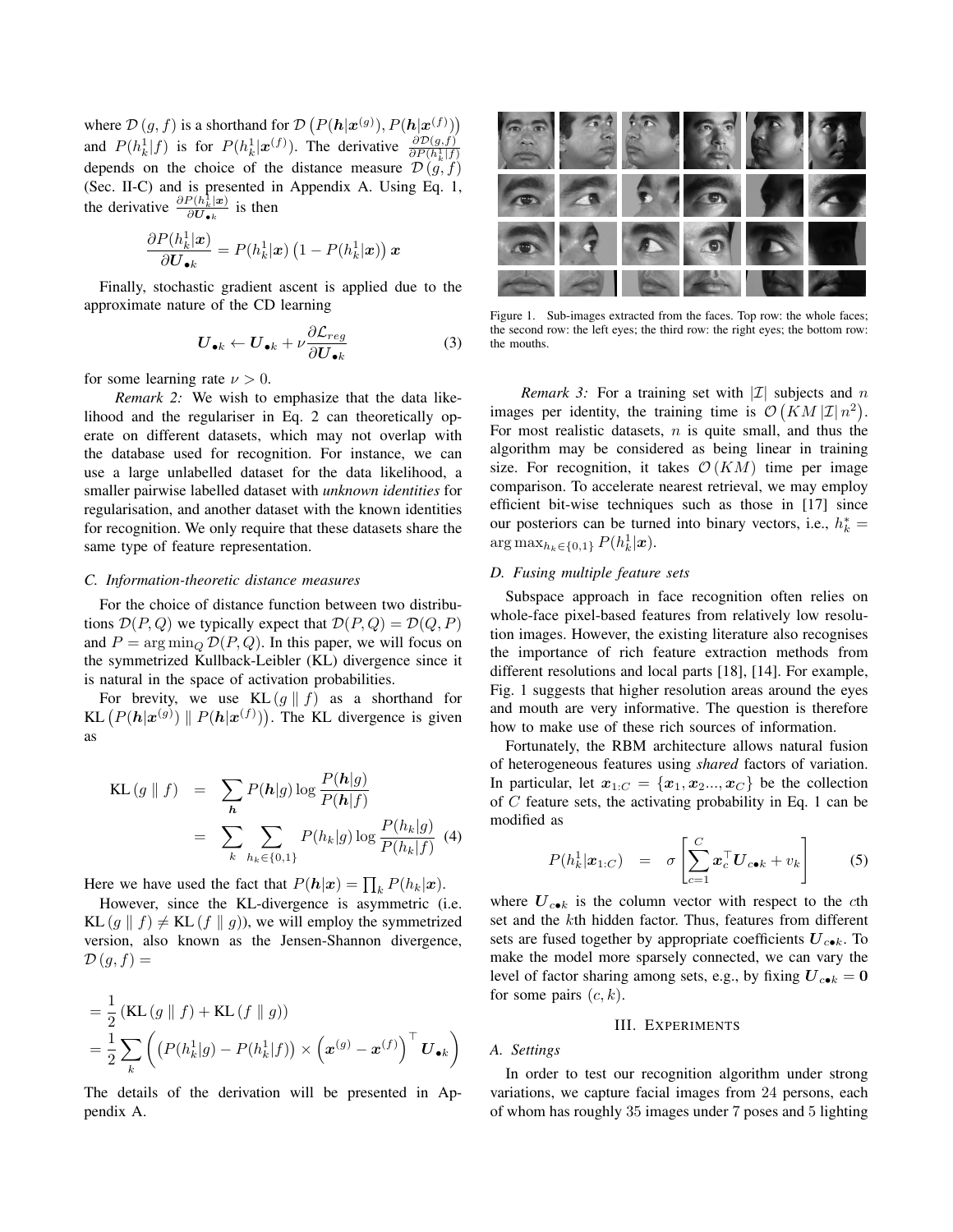where  $\mathcal{D}(g, f)$  is a shorthand for  $\mathcal{D}(P(h|\mathbf{x}^{(g)}), P(h|\mathbf{x}^{(f)}))$ and  $P(h_k^1|f)$  is for  $P(h_k^1|\boldsymbol{x}^{(f)})$ . The derivative  $\frac{\partial D(g,f)}{\partial P(h_k^1|f)}$ depends on the choice of the distance measure  $\mathcal{D}(g, f)$ (Sec. II-C) and is presented in Appendix A. Using Eq. 1, the derivative  $\frac{\partial P(h_k^{\dagger}|\mathbf{x})}{\partial H_{k}}$  $\frac{\partial U_{\bullet k}(\mathbf{x})}{\partial \mathbf{U}_{\bullet k}}$  is then

$$
\frac{\partial P(h_k^1|\boldsymbol{x})}{\partial \boldsymbol{U}_{\bullet k}} = P(h_k^1|\boldsymbol{x}) \left(1 - P(h_k^1|\boldsymbol{x})\right) \boldsymbol{x}
$$

Finally, stochastic gradient ascent is applied due to the approximate nature of the CD learning

$$
\boldsymbol{U}_{\bullet k} \leftarrow \boldsymbol{U}_{\bullet k} + \nu \frac{\partial \mathcal{L}_{reg}}{\partial \boldsymbol{U}_{\bullet k}} \tag{3}
$$

for some learning rate  $\nu > 0$ .

*Remark 2:* We wish to emphasize that the data likelihood and the regulariser in Eq. 2 can theoretically operate on different datasets, which may not overlap with the database used for recognition. For instance, we can use a large unlabelled dataset for the data likelihood, a smaller pairwise labelled dataset with *unknown identities* for regularisation, and another dataset with the known identities for recognition. We only require that these datasets share the same type of feature representation.

## *C. Information-theoretic distance measures*

For the choice of distance function between two distributions  $\mathcal{D}(P,Q)$  we typically expect that  $\mathcal{D}(P,Q) = \mathcal{D}(Q,P)$ and  $P = \arg \min_{Q} \mathcal{D}(P, Q)$ . In this paper, we will focus on the symmetrized Kullback-Leibler (KL) divergence since it is natural in the space of activation probabilities.

For brevity, we use  $KL(g \parallel f)$  as a shorthand for KL  $(P(h|\mathbf{x}^{(g)}) \parallel P(h|\mathbf{x}^{(f)}))$ . The KL divergence is given as

$$
KL(g \parallel f) = \sum_{\mathbf{h}} P(\mathbf{h}|g) \log \frac{P(\mathbf{h}|g)}{P(\mathbf{h}|f)}
$$
  
= 
$$
\sum_{k} \sum_{h_k \in \{0,1\}} P(h_k|g) \log \frac{P(h_k|g)}{P(h_k|f)} \quad (4)
$$

Here we have used the fact that  $P(h|x) = \prod_k P(h_k|x)$ .

However, since the KL-divergence is asymmetric (i.e. KL  $(g \parallel f) \neq$  KL  $(f \parallel g)$ ), we will employ the symmetrized version, also known as the Jensen-Shannon divergence,  $\mathcal{D}(g, f) =$ 

$$
= \frac{1}{2} \left( \text{KL} \left( g \parallel f \right) + \text{KL} \left( f \parallel g \right) \right)
$$
  
= 
$$
\frac{1}{2} \sum_{k} \left( \left( P(h_k^1|g) - P(h_k^1|f) \right) \times \left( \mathbf{x}^{(g)} - \mathbf{x}^{(f)} \right)^\top \mathbf{U}_{\bullet k} \right)
$$

The details of the derivation will be presented in Appendix A.



Figure 1. Sub-images extracted from the faces. Top row: the whole faces; the second row: the left eyes; the third row: the right eyes; the bottom row: the mouths.

*Remark 3:* For a training set with  $|\mathcal{I}|$  subjects and n images per identity, the training time is  $\mathcal{O}(KM|\mathcal{I}|n^2)$ . For most realistic datasets,  $n$  is quite small, and thus the algorithm may be considered as being linear in training size. For recognition, it takes  $\mathcal{O}(KM)$  time per image comparison. To accelerate nearest retrieval, we may employ efficient bit-wise techniques such as those in [17] since our posteriors can be turned into binary vectors, i.e.,  $h_k^* =$  $\arg \max_{h_k \in \{0,1\}} P(h_k^1 | \bm{x}).$ 

## *D. Fusing multiple feature sets*

Subspace approach in face recognition often relies on whole-face pixel-based features from relatively low resolution images. However, the existing literature also recognises the importance of rich feature extraction methods from different resolutions and local parts [18], [14]. For example, Fig. 1 suggests that higher resolution areas around the eyes and mouth are very informative. The question is therefore how to make use of these rich sources of information.

Fortunately, the RBM architecture allows natural fusion of heterogeneous features using *shared* factors of variation. In particular, let  $x_{1:C} = \{x_1, x_2, ..., x_C\}$  be the collection of C feature sets, the activating probability in Eq. 1 can be modified as

$$
P(h_k^1|\boldsymbol{x}_{1:C}) = \sigma \left[ \sum_{c=1}^C \boldsymbol{x}_c^\top \boldsymbol{U}_{c \bullet k} + v_k \right]
$$
 (5)

where  $U_{c\bullet k}$  is the column vector with respect to the cth set and the kth hidden factor. Thus, features from different sets are fused together by appropriate coefficients  $U_{c\bullet k}$ . To make the model more sparsely connected, we can vary the level of factor sharing among sets, e.g., by fixing  $U_{c\bullet k} = 0$ for some pairs  $(c, k)$ .

## III. EXPERIMENTS

*A. Settings*

In order to test our recognition algorithm under strong variations, we capture facial images from 24 persons, each of whom has roughly 35 images under 7 poses and 5 lighting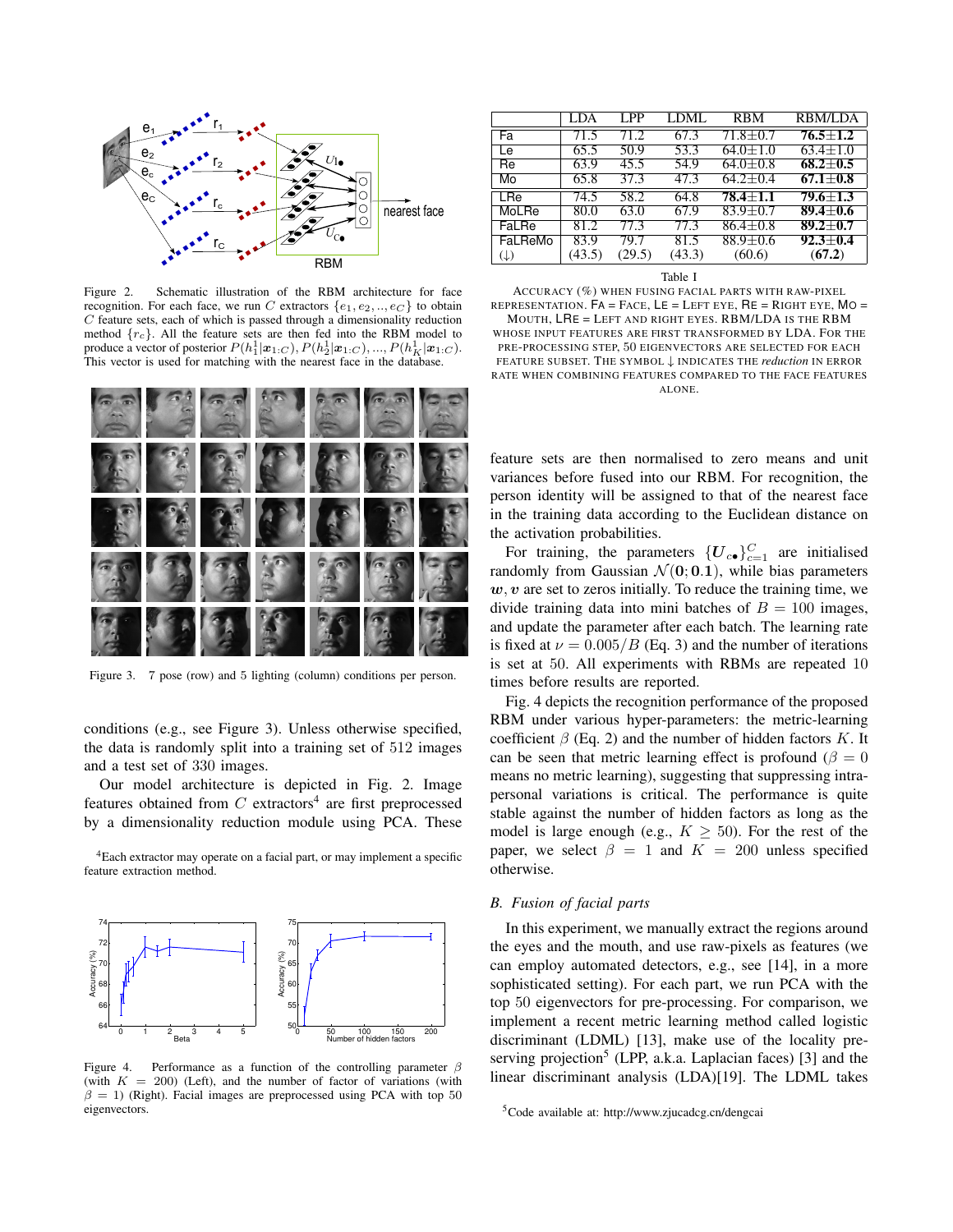

Figure 2. Schematic illustration of the RBM architecture for face recognition. For each face, we run C extractors  $\{e_1, e_2, ..., e_C\}$  to obtain C feature sets, each of which is passed through a dimensionality reduction method  ${r_c}$ . All the feature sets are then fed into the RBM model to produce a vector of posterior  $P(h_1^1|\boldsymbol{x}_{1:C}), P(h_2^1|\boldsymbol{x}_{1:C}), ..., P(h_K^1|\boldsymbol{x}_{1:C}).$ This vector is used for matching with the nearest face in the database.



Figure 3. 7 pose (row) and 5 lighting (column) conditions per person.

conditions (e.g., see Figure 3). Unless otherwise specified, the data is randomly split into a training set of 512 images and a test set of 330 images.

Our model architecture is depicted in Fig. 2. Image features obtained from  $C$  extractors<sup>4</sup> are first preprocessed by a dimensionality reduction module using PCA. These

<sup>4</sup>Each extractor may operate on a facial part, or may implement a specific feature extraction method.



Figure 4. Performance as a function of the controlling parameter  $\beta$ (with  $K = 200$ ) (Left), and the number of factor of variations (with  $\beta = 1$ ) (Right). Facial images are preprocessed using PCA with top 50 eigenvectors.

|                | LDA    | LPP.   | LDML   | <b>RBM</b>     | RBM/LDA        |
|----------------|--------|--------|--------|----------------|----------------|
| Fa             | 71.5   | 71 2   | 67.3   | $71.8 + 0.7$   | $76.5 + 1.2$   |
| Le             | 65.5   | 50.9   | 53.3   | $64.0 \pm 1.0$ | $63.4 \pm 1.0$ |
| Re             | 63.9   | 45.5   | 54.9   | $64.0 + 0.8$   | $68.2 \pm 0.5$ |
| Mo             | 65.8   | 37.3   | 47.3   | $64.2 \pm 0.4$ | $67.1 \pm 0.8$ |
| LRe            | 74.5   | 58.2   | 64.8   | $78.4 + 1.1$   | $79.6 + 1.3$   |
| MoLRe          | 80.0   | 63.0   | 67.9   | $83.9 + 0.7$   | $89.4 + 0.6$   |
| FaLRe          | 81.2   | 77.3   | 77.3   | $86.4 \pm 0.8$ | $89.2 + 0.7$   |
| FaLReMo        | 83.9   | 79.7   | 81.5   | $88.9 + 0.6$   | $92.3 + 0.4$   |
| $(\downarrow)$ | (43.5) | (29.5) | (43.3) | (60.6)         | (67.2)         |

Table I

ACCURACY (%) WHEN FUSING FACIAL PARTS WITH RAW-PIXEL REPRESENTATION.  $FA = Face$ ,  $LE = LEFT$  EYE,  $RE = RIGHT$  EYE,  $MO =$ MOUTH, LRE = LEFT AND RIGHT EYES. RBM/LDA IS THE RBM WHOSE INPUT FEATURES ARE FIRST TRANSFORMED BY LDA. FOR THE PRE-PROCESSING STEP, 50 EIGENVECTORS ARE SELECTED FOR EACH FEATURE SUBSET. THE SYMBOL ↓ INDICATES THE *reduction* IN ERROR RATE WHEN COMBINING FEATURES COMPARED TO THE FACE FEATURES ALONE.

feature sets are then normalised to zero means and unit variances before fused into our RBM. For recognition, the person identity will be assigned to that of the nearest face in the training data according to the Euclidean distance on the activation probabilities.

For training, the parameters  $\{U_{c\bullet}\}_{c=1}^C$  are initialised randomly from Gaussian  $\mathcal{N}(0; 0.1)$ , while bias parameters  $w, v$  are set to zeros initially. To reduce the training time, we divide training data into mini batches of  $B = 100$  images, and update the parameter after each batch. The learning rate is fixed at  $\nu = 0.005/B$  (Eq. 3) and the number of iterations is set at 50. All experiments with RBMs are repeated 10 times before results are reported.

Fig. 4 depicts the recognition performance of the proposed RBM under various hyper-parameters: the metric-learning coefficient  $\beta$  (Eq. 2) and the number of hidden factors K. It can be seen that metric learning effect is profound ( $\beta = 0$ ) means no metric learning), suggesting that suppressing intrapersonal variations is critical. The performance is quite stable against the number of hidden factors as long as the model is large enough (e.g.,  $K \geq 50$ ). For the rest of the paper, we select  $\beta = 1$  and  $K = 200$  unless specified otherwise.

#### *B. Fusion of facial parts*

In this experiment, we manually extract the regions around the eyes and the mouth, and use raw-pixels as features (we can employ automated detectors, e.g., see [14], in a more sophisticated setting). For each part, we run PCA with the top 50 eigenvectors for pre-processing. For comparison, we implement a recent metric learning method called logistic discriminant (LDML) [13], make use of the locality preserving projection<sup>5</sup> (LPP, a.k.a. Laplacian faces) [3] and the linear discriminant analysis (LDA)[19]. The LDML takes

<sup>5</sup>Code available at: http://www.zjucadcg.cn/dengcai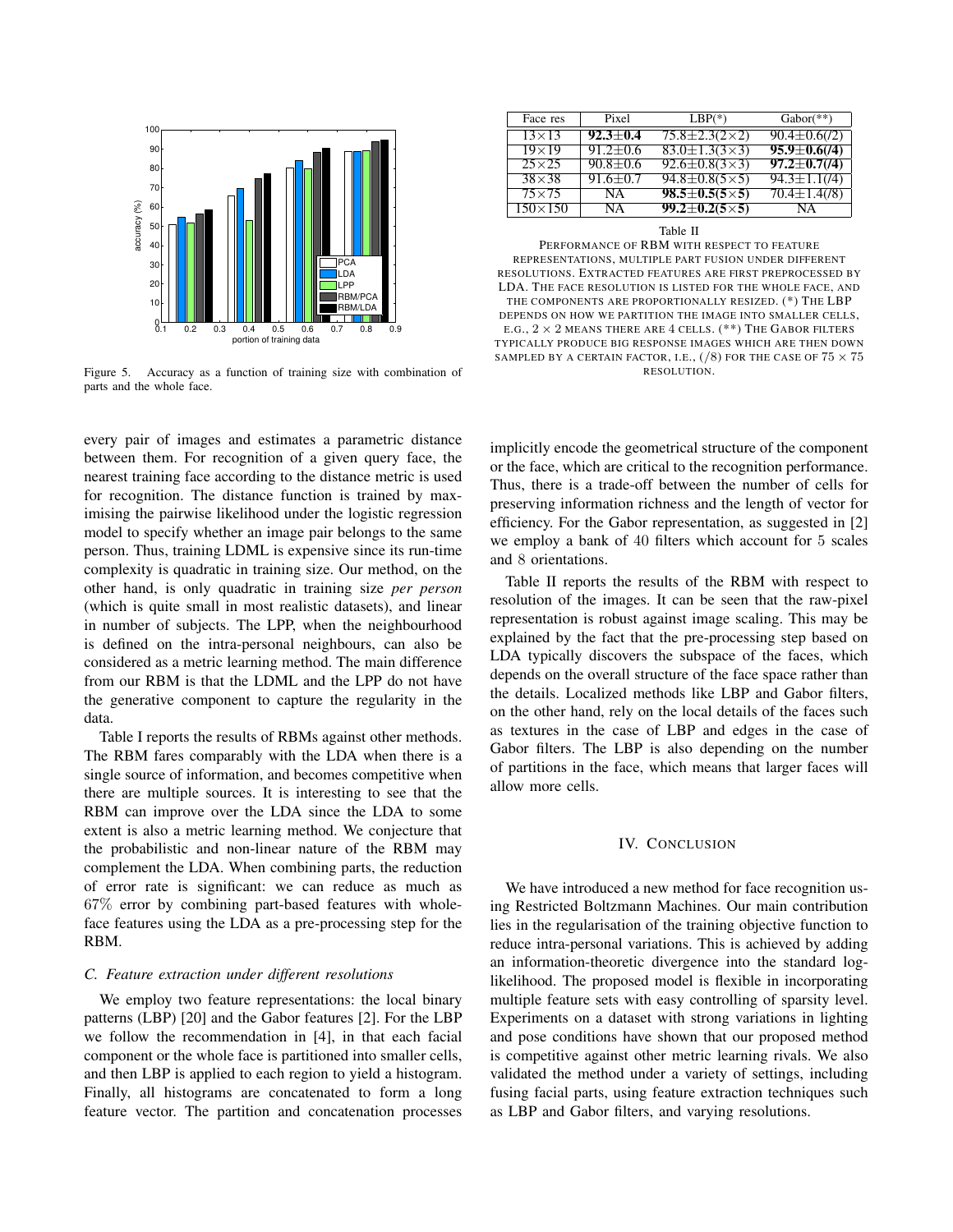

Figure 5. Accuracy as a function of training size with combination of parts and the whole face.

every pair of images and estimates a parametric distance between them. For recognition of a given query face, the nearest training face according to the distance metric is used for recognition. The distance function is trained by maximising the pairwise likelihood under the logistic regression model to specify whether an image pair belongs to the same person. Thus, training LDML is expensive since its run-time complexity is quadratic in training size. Our method, on the other hand, is only quadratic in training size *per person* (which is quite small in most realistic datasets), and linear in number of subjects. The LPP, when the neighbourhood is defined on the intra-personal neighbours, can also be considered as a metric learning method. The main difference from our RBM is that the LDML and the LPP do not have the generative component to capture the regularity in the data.

Table I reports the results of RBMs against other methods. The RBM fares comparably with the LDA when there is a single source of information, and becomes competitive when there are multiple sources. It is interesting to see that the RBM can improve over the LDA since the LDA to some extent is also a metric learning method. We conjecture that the probabilistic and non-linear nature of the RBM may complement the LDA. When combining parts, the reduction of error rate is significant: we can reduce as much as 67% error by combining part-based features with wholeface features using the LDA as a pre-processing step for the RBM.

# *C. Feature extraction under different resolutions*

We employ two feature representations: the local binary patterns (LBP) [20] and the Gabor features [2]. For the LBP we follow the recommendation in [4], in that each facial component or the whole face is partitioned into smaller cells, and then LBP is applied to each region to yield a histogram. Finally, all histograms are concatenated to form a long feature vector. The partition and concatenation processes

| Face res       | Pixel          | $LBP(*)$                    | $Gabor(**)$         |
|----------------|----------------|-----------------------------|---------------------|
| $13\times13$   | $92.3 \pm 0.4$ | $75.8 \pm 2.3(2 \times 2)$  | $90.4 \pm 0.6(72)$  |
| $19\times19$   | $91.2 \pm 0.6$ | $83.0 \pm 1.3(3 \times 3)$  | $95.9 \pm 0.6 (14)$ |
| $25\times25$   | $90.8 \pm 0.6$ | $92.6 \pm 0.8 (3 \times 3)$ | $97.2 \pm 0.7(14)$  |
| $38\times38$   | $91.6 \pm 0.7$ | $94.8 \pm 0.8 (5 \times 5)$ | $94.3 \pm 1.1(4)$   |
| $75\times75$   | NA.            | $98.5 \pm 0.5(5 \times 5)$  | $70.4 \pm 1.4(78)$  |
| $150\times150$ | NA.            | $99.2 \pm 0.2 (5 \times 5)$ | NΑ                  |

#### Table II

PERFORMANCE OF RBM WITH RESPECT TO FEATURE REPRESENTATIONS, MULTIPLE PART FUSION UNDER DIFFERENT RESOLUTIONS. EXTRACTED FEATURES ARE FIRST PREPROCESSED BY LDA. THE FACE RESOLUTION IS LISTED FOR THE WHOLE FACE, AND THE COMPONENTS ARE PROPORTIONALLY RESIZED. (\*) THE LBP DEPENDS ON HOW WE PARTITION THE IMAGE INTO SMALLER CELLS, E.G.,  $2 \times 2$  MEANS THERE ARE 4 CELLS. (\*\*) THE GABOR FILTERS TYPICALLY PRODUCE BIG RESPONSE IMAGES WHICH ARE THEN DOWN SAMPLED BY A CERTAIN FACTOR, I.E.,  $(\sqrt{8})$  for the case of  $75 \times 75$ RESOLUTION.

implicitly encode the geometrical structure of the component or the face, which are critical to the recognition performance. Thus, there is a trade-off between the number of cells for preserving information richness and the length of vector for efficiency. For the Gabor representation, as suggested in [2] we employ a bank of 40 filters which account for 5 scales and 8 orientations.

Table II reports the results of the RBM with respect to resolution of the images. It can be seen that the raw-pixel representation is robust against image scaling. This may be explained by the fact that the pre-processing step based on LDA typically discovers the subspace of the faces, which depends on the overall structure of the face space rather than the details. Localized methods like LBP and Gabor filters, on the other hand, rely on the local details of the faces such as textures in the case of LBP and edges in the case of Gabor filters. The LBP is also depending on the number of partitions in the face, which means that larger faces will allow more cells.

#### IV. CONCLUSION

We have introduced a new method for face recognition using Restricted Boltzmann Machines. Our main contribution lies in the regularisation of the training objective function to reduce intra-personal variations. This is achieved by adding an information-theoretic divergence into the standard loglikelihood. The proposed model is flexible in incorporating multiple feature sets with easy controlling of sparsity level. Experiments on a dataset with strong variations in lighting and pose conditions have shown that our proposed method is competitive against other metric learning rivals. We also validated the method under a variety of settings, including fusing facial parts, using feature extraction techniques such as LBP and Gabor filters, and varying resolutions.